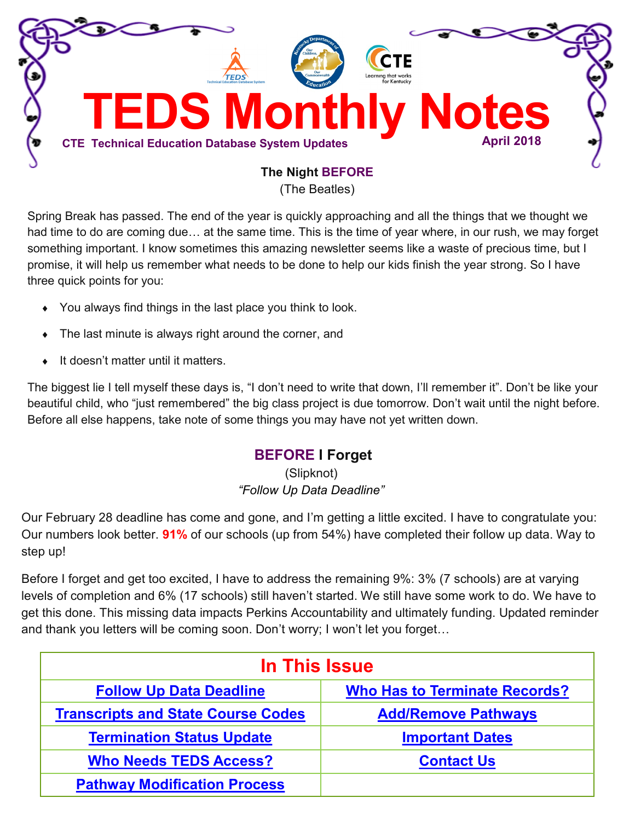<span id="page-0-0"></span>

(The Beatles)

Spring Break has passed. The end of the year is quickly approaching and all the things that we thought we had time to do are coming due… at the same time. This is the time of year where, in our rush, we may forget something important. I know sometimes this amazing newsletter seems like a waste of precious time, but I promise, it will help us remember what needs to be done to help our kids finish the year strong. So I have three quick points for you:

- You always find things in the last place you think to look.
- The last minute is always right around the corner, and
- ◆ It doesn't matter until it matters.

The biggest lie I tell myself these days is, "I don't need to write that down, I'll remember it". Don't be like your beautiful child, who "just remembered" the big class project is due tomorrow. Don't wait until the night before. Before all else happens, take note of some things you may have not yet written down.

# **BEFORE I Forget**

(Slipknot) *"Follow Up Data Deadline"*

Our February 28 deadline has come and gone, and I'm getting a little excited. I have to congratulate you: Our numbers look better. **91%** of our schools (up from 54%) have completed their follow up data. Way to step up!

Before I forget and get too excited, I have to address the remaining 9%: 3% (7 schools) are at varying levels of completion and 6% (17 schools) still haven't started. We still have some work to do. We have to get this done. This missing data impacts Perkins Accountability and ultimately funding. Updated reminder and thank you letters will be coming soon. Don't worry; I won't let you forget…

| In This Issue                             |                                      |
|-------------------------------------------|--------------------------------------|
| <b>Follow Up Data Deadline</b>            | <b>Who Has to Terminate Records?</b> |
| <b>Transcripts and State Course Codes</b> | <b>Add/Remove Pathways</b>           |
| <b>Termination Status Update</b>          | <b>Important Dates</b>               |
| <b>Who Needs TEDS Access?</b>             | <b>Contact Us</b>                    |
| <b>Pathway Modification Process</b>       |                                      |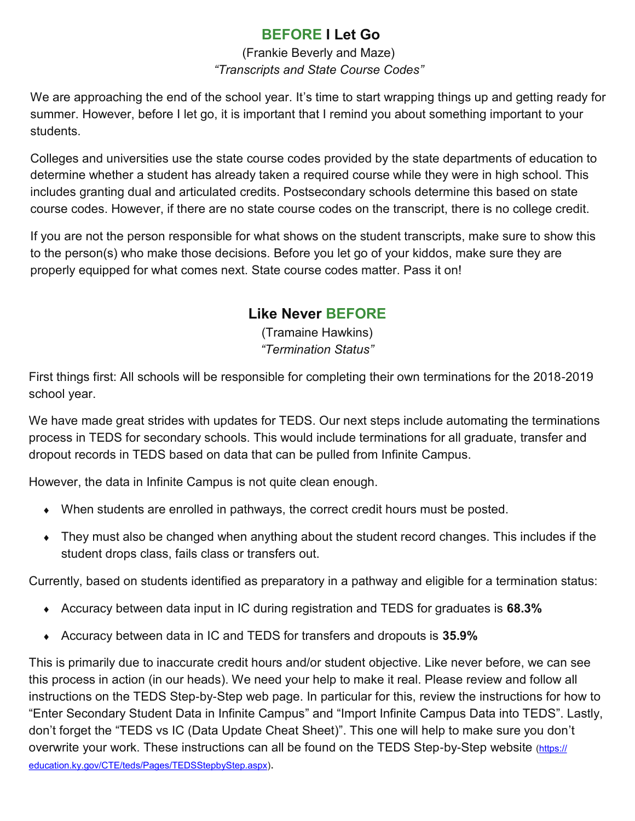# **BEFORE I Let Go**

## (Frankie Beverly and Maze) *"Transcripts and State Course Codes"*

<span id="page-1-0"></span>We are approaching the end of the school year. It's time to start wrapping things up and getting ready for summer. However, before I let go, it is important that I remind you about something important to your students.

Colleges and universities use the state course codes provided by the state departments of education to determine whether a student has already taken a required course while they were in high school. This includes granting dual and articulated credits. Postsecondary schools determine this based on state course codes. However, if there are no state course codes on the transcript, there is no college credit.

If you are not the person responsible for what shows on the student transcripts, make sure to show this to the person(s) who make those decisions. Before you let go of your kiddos, make sure they are properly equipped for what comes next. State course codes matter. Pass it on!

# **Like Never BEFORE**

(Tramaine Hawkins) *"Termination Status"*

First things first: All schools will be responsible for completing their own terminations for the 2018-2019 school year.

We have made great strides with updates for TEDS. Our next steps include automating the terminations process in TEDS for secondary schools. This would include terminations for all graduate, transfer and dropout records in TEDS based on data that can be pulled from Infinite Campus.

However, the data in Infinite Campus is not quite clean enough.

- When students are enrolled in pathways, the correct credit hours must be posted.
- They must also be changed when anything about the student record changes. This includes if the student drops class, fails class or transfers out.

Currently, based on students identified as preparatory in a pathway and eligible for a termination status:

- Accuracy between data input in IC during registration and TEDS for graduates is **68.3%**
- Accuracy between data in IC and TEDS for transfers and dropouts is **35.9%**

This is primarily due to inaccurate credit hours and/or student objective. Like never before, we can see this process in action (in our heads). We need your help to make it real. Please review and follow all instructions on the TEDS Step-by-Step web page. In particular for this, review the instructions for how to "Enter Secondary Student Data in Infinite Campus" and "Import Infinite Campus Data into TEDS". Lastly, don't forget the "TEDS vs IC (Data Update Cheat Sheet)". This one will help to make sure you don't overwrite your work. These instructions can all be found on the TEDS Step-by-Step website ([https://](https://education.ky.gov/CTE/teds/Pages/TEDSStepbyStep.aspx) [education.ky.gov/CTE/teds/Pages/TEDSStepbyStep.aspx\)](https://education.ky.gov/CTE/teds/Pages/TEDSStepbyStep.aspx).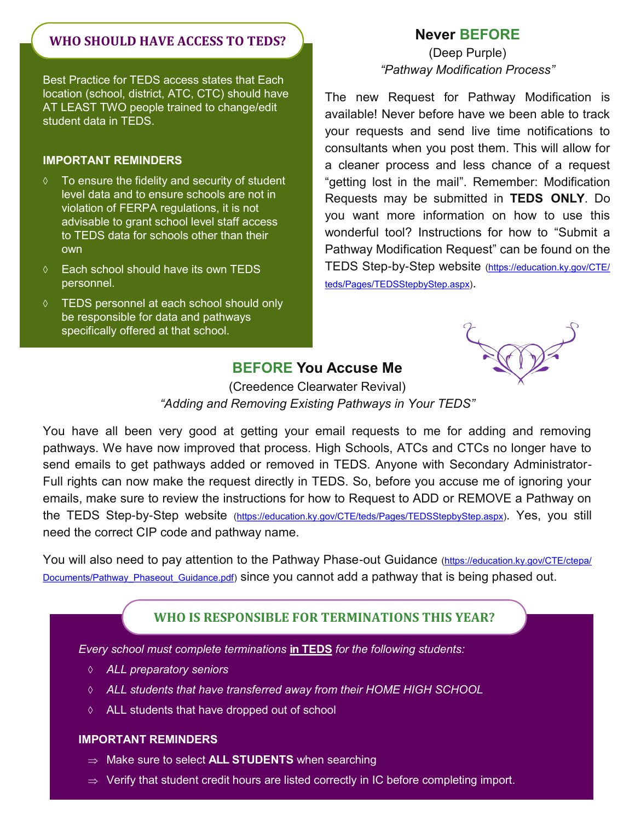## <span id="page-2-0"></span>**WHO SHOULD HAVE ACCESS TO TEDS?**

Best Practice for TEDS access states that Each location (school, district, ATC, CTC) should have AT LEAST TWO people trained to change/edit student data in TEDS.

#### **IMPORTANT REMINDERS**

- $\Diamond$  To ensure the fidelity and security of student level data and to ensure schools are not in violation of FERPA regulations, it is not advisable to grant school level staff access to TEDS data for schools other than their own
- Each school should have its own TEDS personnel.
- TEDS personnel at each school should only be responsible for data and pathways specifically offered at that school.

### **Never BEFORE**

(Deep Purple) *"Pathway Modification Process"*

The new Request for Pathway Modification is available! Never before have we been able to track your requests and send live time notifications to consultants when you post them. This will allow for a cleaner process and less chance of a request "getting lost in the mail". Remember: Modification Requests may be submitted in **TEDS ONLY**. Do you want more information on how to use this wonderful tool? Instructions for how to "Submit a Pathway Modification Request" can be found on the TEDS Step-by-Step website [\(https://education.ky.gov/CTE/](https://education.ky.gov/CTE/teds/Pages/TEDSStepbyStep.aspx) [teds/Pages/TEDSStepbyStep.aspx\)](https://education.ky.gov/CTE/teds/Pages/TEDSStepbyStep.aspx).

### **BEFORE You Accuse Me**

(Creedence Clearwater Revival) *"Adding and Removing Existing Pathways in Your TEDS"*

You have all been very good at getting your email requests to me for adding and removing pathways. We have now improved that process. High Schools, ATCs and CTCs no longer have to send emails to get pathways added or removed in TEDS. Anyone with Secondary Administrator-Full rights can now make the request directly in TEDS. So, before you accuse me of ignoring your emails, make sure to review the instructions for how to Request to ADD or REMOVE a Pathway on the TEDS Step-by-Step website [\(https://education.ky.gov/CTE/teds/Pages/TEDSStepbyStep.aspx\)](https://education.ky.gov/CTE/teds/Pages/TEDSStepbyStep.aspx). Yes, you still need the correct CIP code and pathway name.

You will also need to pay attention to the Pathway Phase-out Guidance ([https://education.ky.gov/CTE/ctepa/](https://education.ky.gov/CTE/ctepa/Documents/Pathway_Phaseout_Guidance.pdf) Documents/Pathway Phaseout Guidance.pdf) since you cannot add a pathway that is being phased out.

### **WHO IS RESPONSIBLE FOR TERMINATIONS THIS YEAR?**

*Every school must complete terminations* **in TEDS** *for the following students:*

- *ALL preparatory seniors*
- *ALL students that have transferred away from their HOME HIGH SCHOOL*
- ALL students that have dropped out of school

#### **IMPORTANT REMINDERS**

- ⇒ Make sure to select **ALL STUDENTS** when searching
- $\Rightarrow$  Verify that student credit hours are listed correctly in IC before completing import.